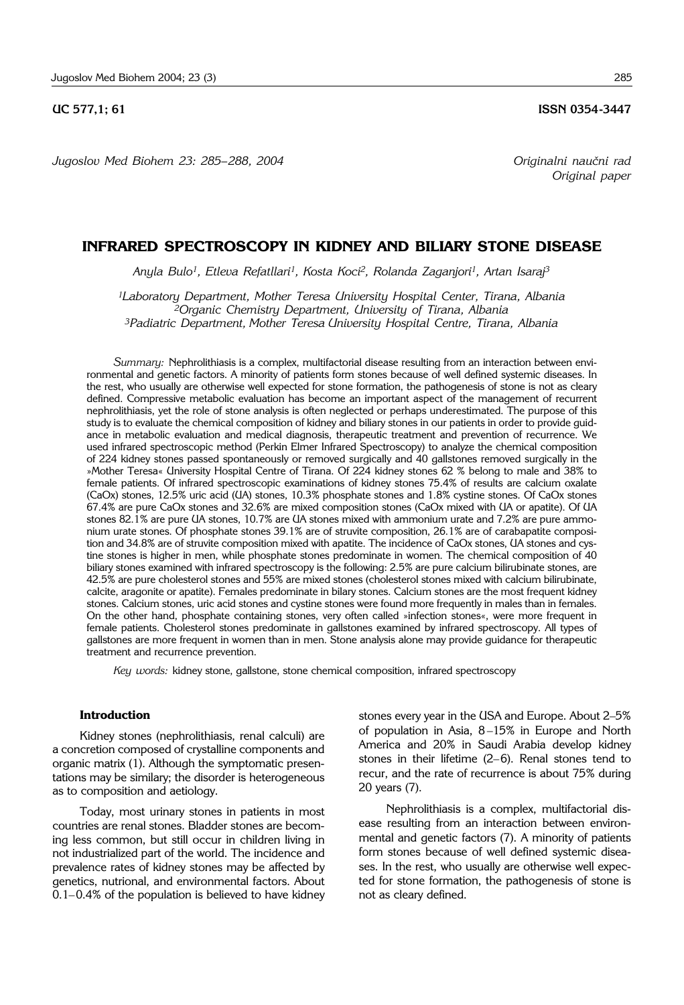# **UC 577.1; 61 ISSN 0354-3447**

*Jugoslov Med Biohem 23: 285– 288, 2004 Originalni nau~ni rad*

*Original paper*

# **INFRARED SPECTROSCOPY IN KIDNEY AND BILIARY STONE DISEASE**

*Anyla Bulo1, Etleva Refatllari1, Kosta Koci2, Rolanda Zaganjori1, Artan Isaraj3*

*1Laboratory Department, Mother Teresa University Hospital Center, Tirana, Albania 2Organic Chemistry Department, University of Tirana, Albania 3Padiatric Department, Mother Teresa University Hospital Centre, Tirana, Albania*

*Summary:* Nephrolithiasis is a complex, multifactorial disease resulting from an interaction between environmental and genetic factors. A minority of patients form stones because of well defined systemic diseases. In the rest, who usually are otherwise well expected for stone formation, the pathogenesis of stone is not as cleary defined. Compressive metabolic evaluation has become an important aspect of the management of recurrent nephrolithiasis, yet the role of stone analysis is often neglected or perhaps underestimated. The purpose of this study is to evaluate the chemical composition of kidney and biliary stones in our patients in order to provide guidance in metabolic evaluation and medical diagnosis, therapeutic treatment and prevention of recurrence. We used infrared spectroscopic method (Perkin Elmer Infrared Spectroscopy) to analyze the chemical composition of 224 kidney stones passed spontaneously or removed surgically and 40 gallstones removed surgically in the »Mother Teresa« University Hospital Centre of Tirana. Of 224 kidney stones 62 % belong to male and 38% to female patients. Of infrared spectroscopic examinations of kidney stones 75.4% of results are calcium oxalate (CaOx) stones, 12.5% uric acid (UA) stones, 10.3% phosphate stones and 1.8% cystine stones. Of CaOx stones 67.4% are pure CaOx stones and 32.6% are mixed composition stones (CaOx mixed with UA or apatite). Of UA stones 82.1% are pure UA stones, 10.7% are UA stones mixed with ammonium urate and 7.2% are pure ammonium urate stones. Of phosphate stones 39.1% are of struvite composition, 26.1% are of carabapatite composition and 34.8% are of struvite composition mixed with apatite. The incidence of CaOx stones, UA stones and cystine stones is higher in men, while phosphate stones predominate in women. The chemical composition of 40 biliary stones examined with infrared spectroscopy is the following: 2.5% are pure calcium bilirubinate stones, are 42.5% are pure cholesterol stones and 55% are mixed stones (cholesterol stones mixed with calcium bilirubinate, calcite, aragonite or apatite). Females predominate in bilary stones. Calcium stones are the most frequent kidney stones. Calcium stones, uric acid stones and cystine stones were found more frequently in males than in females. On the other hand, phosphate containing stones, very often called »infection stones«, were more frequent in female patients. Cholesterol stones predominate in gallstones examined by infrared spectroscopy. All types of gallstones are more frequent in women than in men. Stone analysis alone may provide guidance for therapeutic treatment and recurrence prevention.

*Key words:* kidney stone, gallstone, stone chemical composition, infrared spectroscopy

# **Introduction**

Kidney stones (nephrolithiasis, renal calculi) are a concretion composed of crystalline components and organic matrix (1). Although the symptomatic presentations may be similary; the disorder is heterogeneous as to composition and aetiology.

Today, most urinary stones in patients in most countries are renal stones. Bladder stones are becoming less common, but still occur in children living in not industrialized part of the world. The incidence and prevalence rates of kidney stones may be affected by genetics, nutrional, and environmental factors. About 0.1–0.4% of the population is believed to have kidney stones every year in the USA and Europe. About 2–5% of population in Asia, 8 –15% in Europe and North America and 20% in Saudi Arabia develop kidney stones in their lifetime (2–6). Renal stones tend to recur, and the rate of recurrence is about 75% during 20 years (7).

Nephrolithiasis is a complex, multifactorial disease resulting from an interaction between environmental and genetic factors (7). A minority of patients form stones because of well defined systemic diseases. In the rest, who usually are otherwise well expected for stone formation, the pathogenesis of stone is not as cleary defined.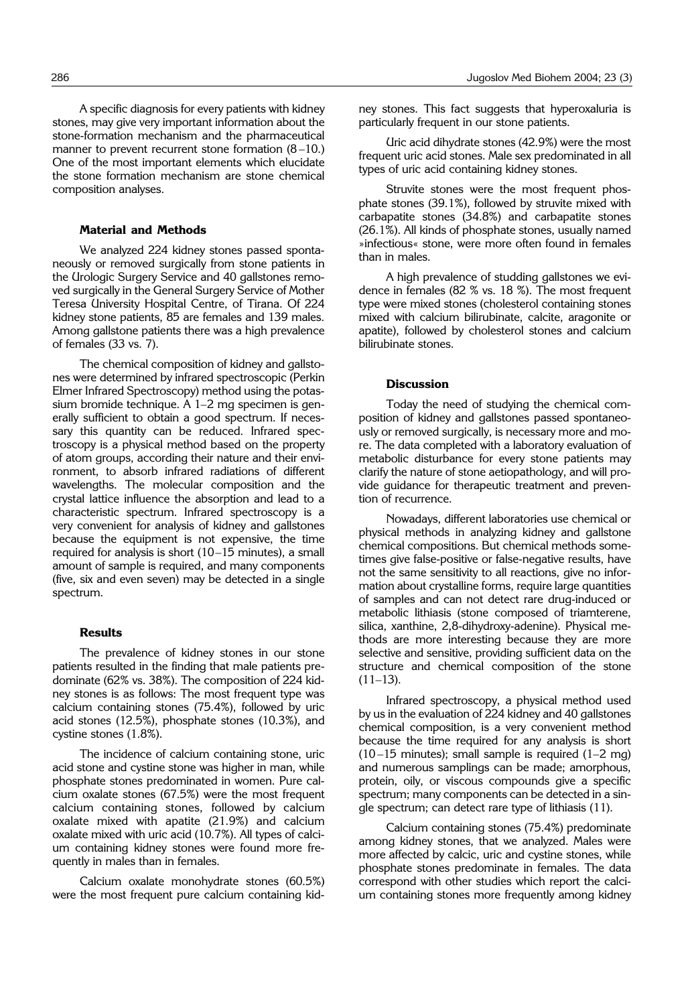A specific diagnosis for every patients with kidney stones, may give very important information about the stone-formation mechanism and the pharmaceutical manner to prevent recurrent stone formation  $(8-10)$ . One of the most important elements which elucidate the stone formation mechanism are stone chemical composition analyses.

### **Material and Methods**

We analyzed 224 kidney stones passed spontaneously or removed surgically from stone patients in the Urologic Surgery Service and 40 gallstones removed surgically in the General Surgery Service of Mother Teresa University Hospital Centre, of Tirana. Of 224 kidney stone patients, 85 are females and 139 males. Among gallstone patients there was a high prevalence of females (33 vs. 7).

The chemical composition of kidney and gallstones were determined by infrared spectroscopic (Perkin Elmer Infrared Spectroscopy) method using the potassium bromide technique. A 1–2 mg specimen is generally sufficient to obtain a good spectrum. If necessary this quantity can be reduced. Infrared spectroscopy is a physical method based on the property of atom groups, according their nature and their environment, to absorb infrared radiations of different wavelengths. The molecular composition and the crystal lattice influence the absorption and lead to a characteristic spectrum. Infrared spectroscopy is a very convenient for analysis of kidney and gallstones because the equipment is not expensive, the time required for analysis is short (10–15 minutes), a small amount of sample is required, and many components (five, six and even seven) may be detected in a single spectrum.

#### **Results**

The prevalence of kidney stones in our stone patients resulted in the finding that male patients predominate (62% vs. 38%). The composition of 224 kidney stones is as follows: The most frequent type was calcium containing stones (75.4%), followed by uric acid stones (12.5%), phosphate stones (10.3%), and cystine stones (1.8%).

The incidence of calcium containing stone, uric acid stone and cystine stone was higher in man, while phosphate stones predominated in women. Pure calcium oxalate stones (67.5%) were the most frequent calcium containing stones, followed by calcium oxalate mixed with apatite (21.9%) and calcium oxalate mixed with uric acid (10.7%). All types of calcium containing kidney stones were found more frequently in males than in females.

Calcium oxalate monohydrate stones (60.5%) were the most frequent pure calcium containing kidney stones. This fact suggests that hyperoxaluria is particularly frequent in our stone patients.

Uric acid dihydrate stones (42.9%) were the most frequent uric acid stones. Male sex predominated in all types of uric acid containing kidney stones.

Struvite stones were the most frequent phosphate stones (39.1%), followed by struvite mixed with carbapatite stones (34.8%) and carbapatite stones (26.1%). All kinds of phosphate stones, usually named »infectious« stone, were more often found in females than in males.

A high prevalence of studding gallstones we evidence in females (82 % vs. 18 %). The most frequent type were mixed stones (cholesterol containing stones mixed with calcium bilirubinate, calcite, aragonite or apatite), followed by cholesterol stones and calcium bilirubinate stones.

## **Discussion**

Today the need of studying the chemical composition of kidney and gallstones passed spontaneously or removed surgically, is necessary more and more. The data completed with a laboratory evaluation of metabolic disturbance for every stone patients may clarify the nature of stone aetiopathology, and will provide guidance for therapeutic treatment and prevention of recurrence.

Nowadays, different laboratories use chemical or physical methods in analyzing kidney and gallstone chemical compositions. But chemical methods sometimes give false-positive or false-negative results, have not the same sensitivity to all reactions, give no information about crystalline forms, require large quantities of samples and can not detect rare drug-induced or metabolic lithiasis (stone composed of triamterene, silica, xanthine, 2,8-dihydroxy-adenine). Physical methods are more interesting because they are more selective and sensitive, providing sufficient data on the structure and chemical composition of the stone  $(11-13)$ .

Infrared spectroscopy, a physical method used by us in the evaluation of 224 kidney and 40 gallstones chemical composition, is a very convenient method because the time required for any analysis is short  $(10-15 \text{ minutes})$ ; small sample is required  $(1-2 \text{ mg})$ and numerous samplings can be made; amorphous, protein, oily, or viscous compounds give a specific spectrum; many components can be detected in a single spectrum; can detect rare type of lithiasis (11).

Calcium containing stones (75.4%) predominate among kidney stones, that we analyzed. Males were more affected by calcic, uric and cystine stones, while phosphate stones predominate in females. The data correspond with other studies which report the calcium containing stones more frequently among kidney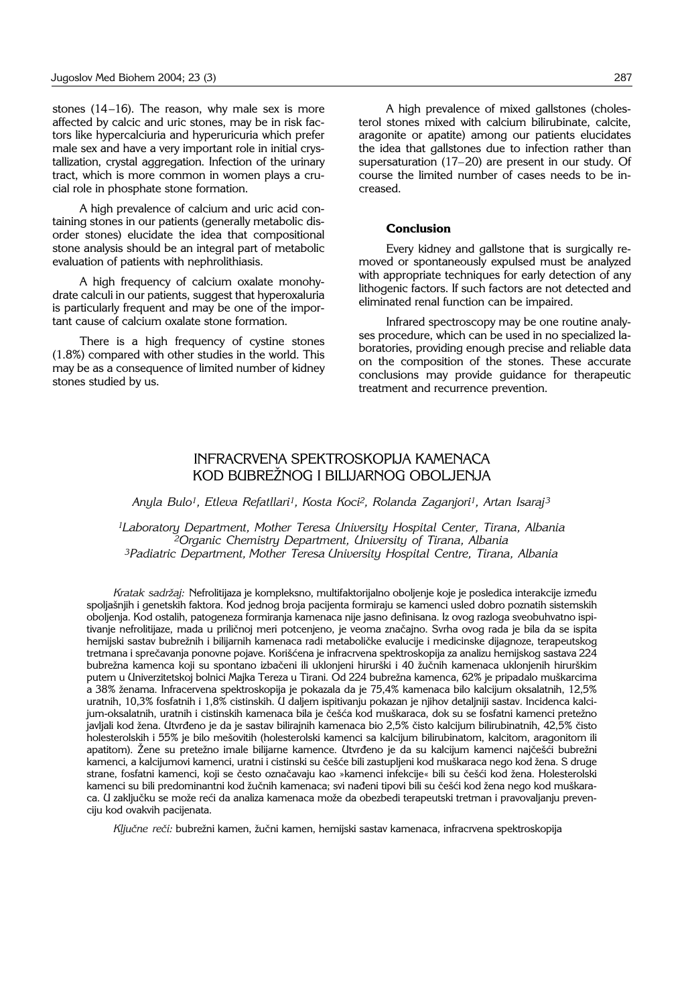stones  $(14-16)$ . The reason, why male sex is more affected by calcic and uric stones, may be in risk factors like hypercalciuria and hyperuricuria which prefer male sex and have a very important role in initial crystallization, crystal aggregation. Infection of the urinary tract, which is more common in women plays a crucial role in phosphate stone formation.

A high prevalence of calcium and uric acid containing stones in our patients (generally metabolic disorder stones) elucidate the idea that compositional stone analysis should be an integral part of metabolic evaluation of patients with nephrolithiasis.

A high frequency of calcium oxalate monohydrate calculi in our patients, suggest that hyperoxaluria is particularly frequent and may be one of the important cause of calcium oxalate stone formation.

There is a high frequency of cystine stones (1.8%) compared with other studies in the world. This may be as a consequence of limited number of kidney stones studied by us.

A high prevalence of mixed gallstones (cholesterol stones mixed with calcium bilirubinate, calcite, aragonite or apatite) among our patients elucidates the idea that gallstones due to infection rather than supersaturation (17–20) are present in our study. Of course the limited number of cases needs to be increased.

## **Conclusion**

Every kidney and gallstone that is surgically removed or spontaneously expulsed must be analyzed with appropriate techniques for early detection of any lithogenic factors. If such factors are not detected and eliminated renal function can be impaired.

Infrared spectroscopy may be one routine analyses procedure, which can be used in no specialized laboratories, providing enough precise and reliable data on the composition of the stones. These accurate conclusions may provide guidance for therapeutic treatment and recurrence prevention.

# INFRACRVENA SPEKTROSKOPIJA KAMENACA KOD BUBREŽNOG I BILIJARNOG OBOLJENJA

*Anyla Bulo1, Etleva Refatllari1, Kosta Koci2, Rolanda Zaganjori1, Artan Isaraj <sup>3</sup>*

*1Laboratory Department, Mother Teresa University Hospital Center, Tirana, Albania 2Organic Chemistry Department, University of Tirana, Albania 3Padiatric Department, Mother Teresa University Hospital Centre, Tirana, Albania*

Kratak sadržaj: Nefrolitijaza je kompleksno, multifaktorijalno oboljenje koje je posledica interakcije između spoljašnjih i genetskih faktora. Kod jednog broja pacijenta formiraju se kamenci usled dobro poznatih sistemskih oboljenja. Kod ostalih, patogeneza formiranja kamenaca nije jasno definisana. Iz ovog razloga sveobuhvatno ispitivanje nefrolitijaze, mada u priličnoj meri potcenjeno, je veoma značajno. Svrha ovog rada je bila da se ispita hemijski sastav bubrežnih i bilijarnih kamenaca radi metaboličke evalucije i medicinske dijagnoze, terapeutskog tretmana i sprečavanja ponovne pojave. Korišćena je infracrvena spektroskopija za analizu hemijskog sastava 224 bubrežna kamenca koji su spontano izbačeni ili uklonjeni hirurški i 40 žučnih kamenaca uklonjenih hirurškim putem u Univerzitetskoj bolnici Majka Tereza u Tirani. Od 224 bubrežna kamenca, 62% je pripadalo muškarcima a 38% `enama. Infracervena spektroskopija je pokazala da je 75,4% kamenaca bilo kalcijum oksalatnih, 12,5% uratnih, 10,3% fosfatnih i 1,8% cistinskih. U daljem ispitivanju pokazan je njihov detaljniji sastav. Incidenca kalcijum-oksalatnih, uratnih i cistinskih kamenaca bila je češća kod muškaraca, dok su se fosfatni kamenci pretežno javljali kod žena. Utvrđeno je da je sastav bilirajnih kamenaca bio 2,5% čisto kalcijum bilirubinatnih, 42,5% čisto holesterolskih i 55% je bilo me{ovitih (holesterolski kamenci sa kalcijum bilirubinatom, kalcitom, aragonitom ili apatitom). Žene su pretežno imale bilijarne kamence. Utvrđeno je da su kalcijum kamenci najčešći bubrežni kamenci, a kalcijumovi kamenci, uratni i cistinski su češće bili zastupljeni kod muškaraca nego kod žena. S druge strane, fosfatni kamenci, koji se često označavaju kao »kamenci infekcije« bili su češći kod žena. Holesterolski kamenci su bili predominantni kod žučnih kamenaca; svi nađeni tipovi bili su češći kod žena nego kod muškaraca. U zaključku se može reći da analiza kamenaca može da obezbedi terapeutski tretman i pravovaljanju prevenciju kod ovakvih pacijenata.

Ključne reči: bubrežni kamen, žučni kamen, hemijski sastav kamenaca, infracrvena spektroskopija